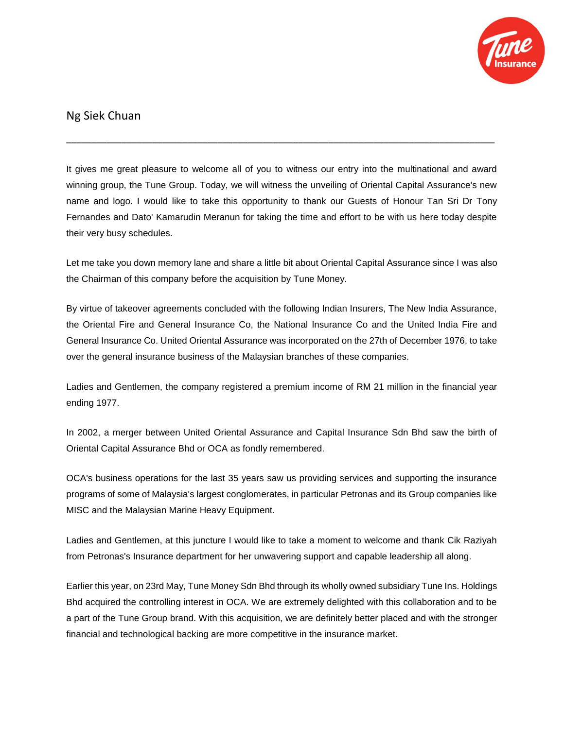

## Ng Siek Chuan

It gives me great pleasure to welcome all of you to witness our entry into the multinational and award winning group, the Tune Group. Today, we will witness the unveiling of Oriental Capital Assurance's new name and logo. I would like to take this opportunity to thank our Guests of Honour Tan Sri Dr Tony Fernandes and Dato' Kamarudin Meranun for taking the time and effort to be with us here today despite their very busy schedules.

\_\_\_\_\_\_\_\_\_\_\_\_\_\_\_\_\_\_\_\_\_\_\_\_\_\_\_\_\_\_\_\_\_\_\_\_\_\_\_\_\_\_\_\_\_\_\_\_\_\_\_\_\_\_\_\_\_\_\_\_\_\_\_\_\_\_\_\_\_\_\_\_\_\_\_\_\_\_\_\_\_\_\_\_\_

Let me take you down memory lane and share a little bit about Oriental Capital Assurance since I was also the Chairman of this company before the acquisition by Tune Money.

By virtue of takeover agreements concluded with the following Indian Insurers, The New India Assurance, the Oriental Fire and General Insurance Co, the National Insurance Co and the United India Fire and General Insurance Co. United Oriental Assurance was incorporated on the 27th of December 1976, to take over the general insurance business of the Malaysian branches of these companies.

Ladies and Gentlemen, the company registered a premium income of RM 21 million in the financial year ending 1977.

In 2002, a merger between United Oriental Assurance and Capital Insurance Sdn Bhd saw the birth of Oriental Capital Assurance Bhd or OCA as fondly remembered.

OCA's business operations for the last 35 years saw us providing services and supporting the insurance programs of some of Malaysia's largest conglomerates, in particular Petronas and its Group companies like MISC and the Malaysian Marine Heavy Equipment.

Ladies and Gentlemen, at this juncture I would like to take a moment to welcome and thank Cik Raziyah from Petronas's Insurance department for her unwavering support and capable leadership all along.

Earlier this year, on 23rd May, Tune Money Sdn Bhd through its wholly owned subsidiary Tune Ins. Holdings Bhd acquired the controlling interest in OCA. We are extremely delighted with this collaboration and to be a part of the Tune Group brand. With this acquisition, we are definitely better placed and with the stronger financial and technological backing are more competitive in the insurance market.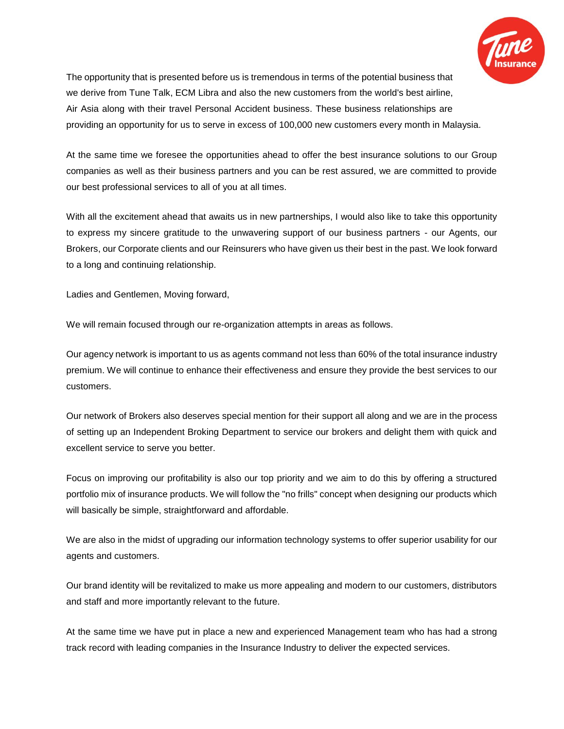

The opportunity that is presented before us is tremendous in terms of the potential business that we derive from Tune Talk, ECM Libra and also the new customers from the world's best airline, Air Asia along with their travel Personal Accident business. These business relationships are providing an opportunity for us to serve in excess of 100,000 new customers every month in Malaysia.

At the same time we foresee the opportunities ahead to offer the best insurance solutions to our Group companies as well as their business partners and you can be rest assured, we are committed to provide our best professional services to all of you at all times.

With all the excitement ahead that awaits us in new partnerships, I would also like to take this opportunity to express my sincere gratitude to the unwavering support of our business partners - our Agents, our Brokers, our Corporate clients and our Reinsurers who have given us their best in the past. We look forward to a long and continuing relationship.

Ladies and Gentlemen, Moving forward,

We will remain focused through our re-organization attempts in areas as follows.

Our agency network is important to us as agents command not less than 60% of the total insurance industry premium. We will continue to enhance their effectiveness and ensure they provide the best services to our customers.

Our network of Brokers also deserves special mention for their support all along and we are in the process of setting up an Independent Broking Department to service our brokers and delight them with quick and excellent service to serve you better.

Focus on improving our profitability is also our top priority and we aim to do this by offering a structured portfolio mix of insurance products. We will follow the "no frills" concept when designing our products which will basically be simple, straightforward and affordable.

We are also in the midst of upgrading our information technology systems to offer superior usability for our agents and customers.

Our brand identity will be revitalized to make us more appealing and modern to our customers, distributors and staff and more importantly relevant to the future.

At the same time we have put in place a new and experienced Management team who has had a strong track record with leading companies in the Insurance Industry to deliver the expected services.